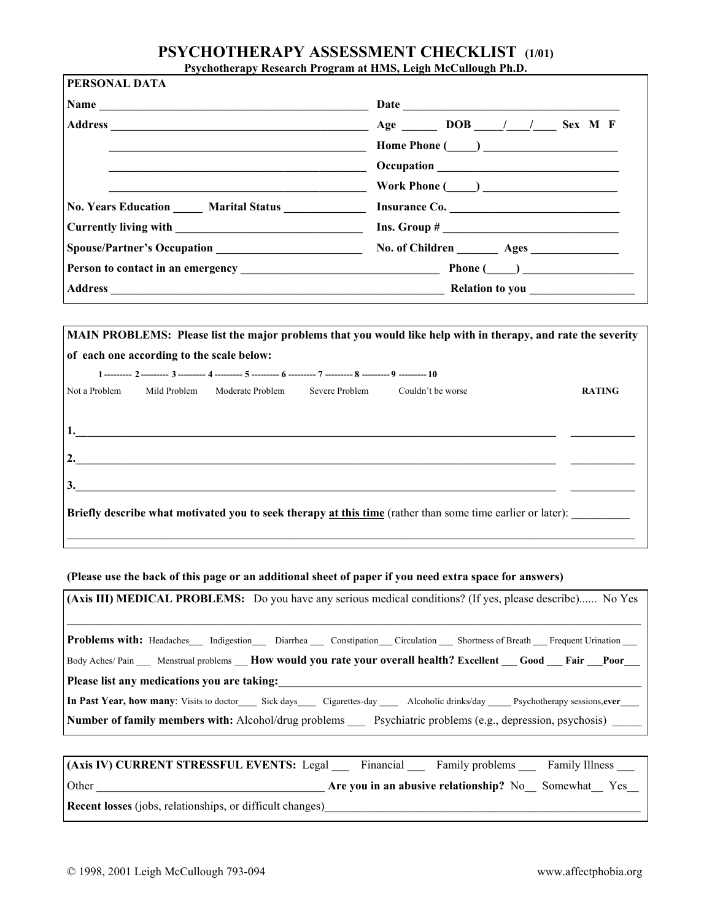## **PSYCHOTHERAPY ASSESSMENT CHECKLIST (1/01)**

**Psychotherapy Research Program at HMS, Leigh McCullough Ph.D.**

| PERSONAL DATA |                                                                                                                                                                                                                                |
|---------------|--------------------------------------------------------------------------------------------------------------------------------------------------------------------------------------------------------------------------------|
|               |                                                                                                                                                                                                                                |
|               | Home Phone $(\_\_\_\_\_\_$                                                                                                                                                                                                     |
|               |                                                                                                                                                                                                                                |
|               | Work Phone $(\_\_)$                                                                                                                                                                                                            |
|               | No. Years Education Marital Status Married Co.                                                                                                                                                                                 |
|               |                                                                                                                                                                                                                                |
|               |                                                                                                                                                                                                                                |
|               | Person to contact in an emergency and the set of the property of the Phone (contact in an emergency of the set of the set of the set of the set of the set of the set of the set of the set of the set of the set of the set o |
|               | Address Relation to you example a series of the contract of the contract of the contract of the contract of the contract of the contract of the contract of the contract of the contract of the contract of the contract of th |

|                                           |              |                                                                                                                |  | MAIN PROBLEMS: Please list the major problems that you would like help with in therapy, and rate the severity     |               |
|-------------------------------------------|--------------|----------------------------------------------------------------------------------------------------------------|--|-------------------------------------------------------------------------------------------------------------------|---------------|
| of each one according to the scale below: |              |                                                                                                                |  |                                                                                                                   |               |
|                                           |              | 1 --------- 2 --------- 3 --------- 4 --------- 5 --------- 6 --------- 7 --------- 8 --------- 9 --------- 10 |  |                                                                                                                   |               |
| Not a Problem                             | Mild Problem | Moderate Problem Severe Problem Couldn't be worse                                                              |  |                                                                                                                   | <b>RATING</b> |
|                                           |              |                                                                                                                |  |                                                                                                                   |               |
|                                           |              |                                                                                                                |  |                                                                                                                   |               |
|                                           |              |                                                                                                                |  |                                                                                                                   |               |
| 2.                                        |              |                                                                                                                |  |                                                                                                                   |               |
| 3.                                        |              |                                                                                                                |  |                                                                                                                   |               |
|                                           |              |                                                                                                                |  |                                                                                                                   |               |
|                                           |              |                                                                                                                |  | <b>Briefly describe what motivated you to seek therapy at this time</b> (rather than some time earlier or later): |               |
|                                           |              |                                                                                                                |  |                                                                                                                   |               |

**(Please use the back of this page or an additional sheet of paper if you need extra space for answers)**

| (Axis III) MEDICAL PROBLEMS: Do you have any serious medical conditions? (If yes, please describe) No Yes                              |  |  |
|----------------------------------------------------------------------------------------------------------------------------------------|--|--|
| Problems with: Headaches___ Indigestion___ Diarrhea ___ Constipation___ Circulation ___ Shortness of Breath ___ Frequent Urination ___ |  |  |
| Body Aches/Pain Menstrual problems How would you rate your overall health? Excellent Good Fair Poor                                    |  |  |
| Please list any medications you are taking:                                                                                            |  |  |
| In Past Year, how many: Visits to doctor Sick days Cigarettes-day Alcoholic drinks/day Psychotherapy sessions, ever                    |  |  |
| <b>Number of family members with:</b> Alcohol/drug problems Psychiatric problems (e.g., depression, psychosis)                         |  |  |
|                                                                                                                                        |  |  |

| (Axis IV) CURRENT STRESSFUL EVENTS: Legal                        | Financial | Family problems                                 | <b>Family Illness</b> |
|------------------------------------------------------------------|-----------|-------------------------------------------------|-----------------------|
| Other                                                            |           | Are you in an abusive relationship? No Somewhat | Yes                   |
| <b>Recent losses</b> (jobs, relationships, or difficult changes) |           |                                                 |                       |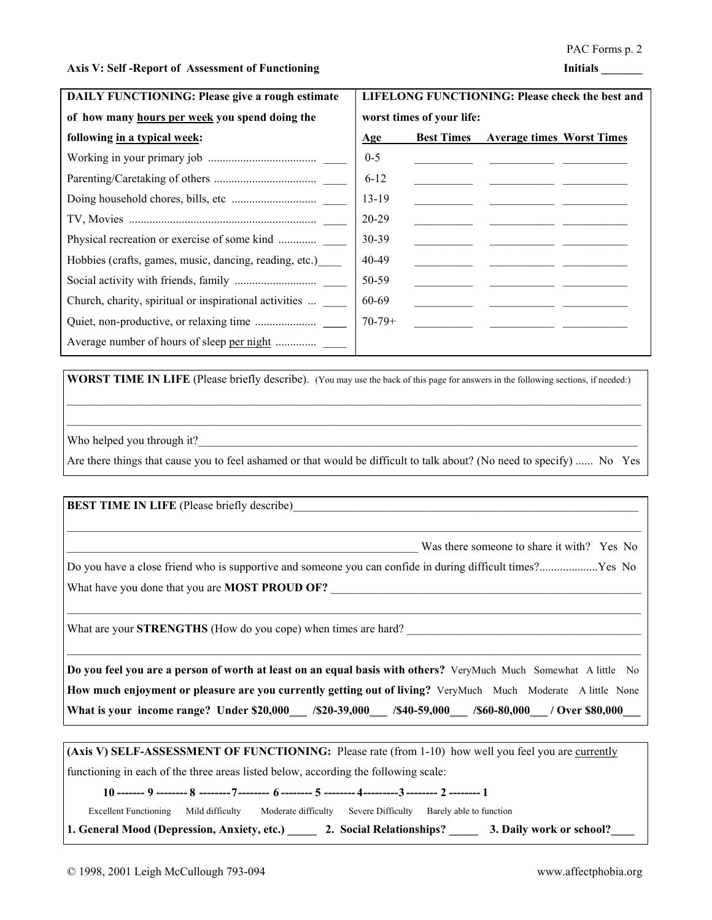### Axis V: Self -Report of Assessment of Functioning **Initials Initials**

| <b>DAILY FUNCTIONING: Please give a rough estimate</b> | LIFELONG FUNCTIONING: Please check the best and |                   |                                                      |  |  |
|--------------------------------------------------------|-------------------------------------------------|-------------------|------------------------------------------------------|--|--|
| of how many hours per week you spend doing the         | worst times of your life:                       |                   |                                                      |  |  |
| following in a typical week:                           | Age                                             | <b>Best Times</b> | <b>Average times Worst Times</b>                     |  |  |
|                                                        | $0 - 5$                                         |                   |                                                      |  |  |
|                                                        | $6-12$                                          |                   | <u> 1989 - Jan James James Barbara, martxa</u>       |  |  |
|                                                        | $13-19$                                         |                   | <u> 1980 - Jan Barbara Barbara, manazarta bashka</u> |  |  |
|                                                        | 20-29                                           |                   |                                                      |  |  |
| Physical recreation or exercise of some kind           | $30 - 39$                                       |                   |                                                      |  |  |
| Hobbies (crafts, games, music, dancing, reading, etc.) | 40-49                                           |                   |                                                      |  |  |
|                                                        | 50-59                                           |                   |                                                      |  |  |
| Church, charity, spiritual or inspirational activities | 60-69                                           |                   |                                                      |  |  |
|                                                        | $70-79+$                                        |                   |                                                      |  |  |
|                                                        |                                                 |                   |                                                      |  |  |

**WORST TIME IN LIFE** (Please briefly describe). (You may use the back of this page for answers in the following sections, if needed:)

Who helped you through it?

Are there things that cause you to feel ashamed or that would be difficult to talk about? (No need to specify) ...... No Yes

 $\mathcal{L}_\text{max}$ 

**BEST TIME IN LIFE** (Please briefly describe)

Was there someone to share it with? Yes No

Do you have a close friend who is supportive and someone you can confide in during difficult times?....................Yes No What have you done that you are **MOST PROUD OF?** 

 $\_$  , and the state of the state of the state of the state of the state of the state of the state of the state of the state of the state of the state of the state of the state of the state of the state of the state of the

 $\mathcal{L}_\text{max}$ 

 $\_$  , and the state of the state of the state of the state of the state of the state of the state of the state of the state of the state of the state of the state of the state of the state of the state of the state of the

What are your **STRENGTHS** (How do you cope) when times are hard?

**Do you feel you are a person of worth at least on an equal basis with others?** VeryMuch Much Somewhat A little No **How much enjoyment or pleasure are you currently getting out of living?** VeryMuch Much Moderate A little None **What is your income range?** Under \$20,000 /\$20-39,000 /\$40-59,000 /\$60-80,000 / Over \$80,000

**(Axis V) SELF-ASSESSMENT OF FUNCTIONING:** Please rate (from 1-10) how well you feel you are currently

functioning in each of the three areas listed below, according the following scale:

**10 ------- 9 -------- 8 --------7-------- 6 -------- 5 -------- 4---------3 -------- 2 -------- 1**

Excellent Functioning Mild difficulty Moderate difficulty Severe Difficulty Barely able to function

**1. General Mood (Depression, Anxiety, etc.) \_\_\_\_\_ 2. Social Relationships? \_\_\_\_\_ 3. Daily work or school?\_\_\_\_**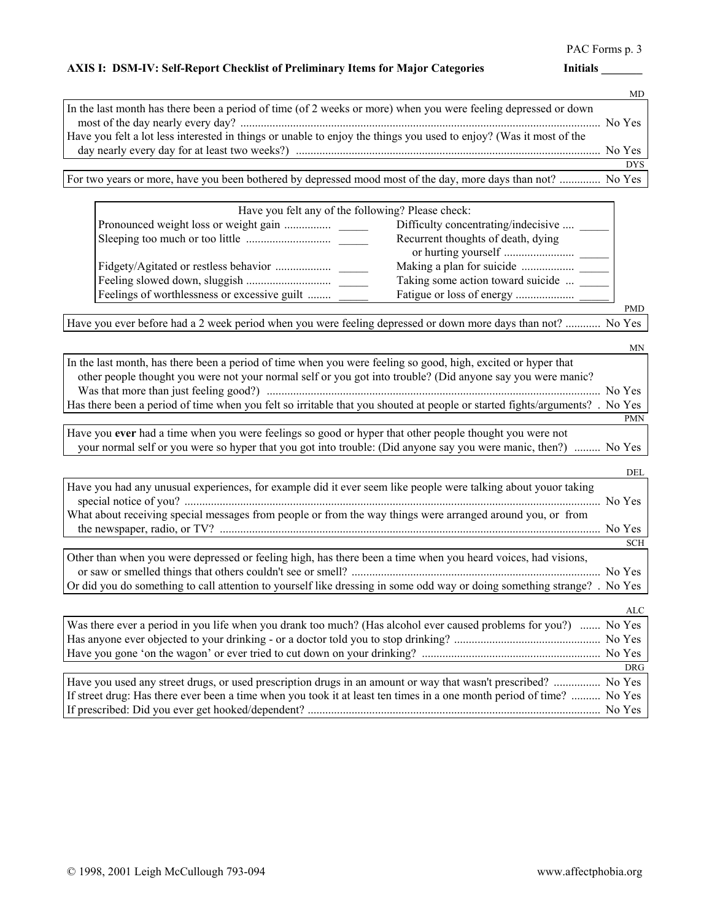## PAC Forms p. 3

## AXIS I: DSM-IV: Self-Report Checklist of Preliminary Items for Major Categories **Initials Initials**

MD

|                                                                                                                    | . . <b>.</b> . |
|--------------------------------------------------------------------------------------------------------------------|----------------|
| In the last month has there been a period of time (of 2 weeks or more) when you were feeling depressed or down     |                |
|                                                                                                                    | No Yes         |
| Have you felt a lot less interested in things or unable to enjoy the things you used to enjoy? (Was it most of the |                |
|                                                                                                                    |                |
|                                                                                                                    | <b>DYS</b>     |
| For two years or more, have you been bothered by depressed mood most of the day, more days than not?  No Yes       |                |

| Have you felt any of the following? Please check: |                                    |
|---------------------------------------------------|------------------------------------|
| Difficulty concentrating/indecisive               |                                    |
|                                                   | Recurrent thoughts of death, dying |
|                                                   |                                    |
|                                                   | Taking some action toward suicide  |
| Feelings of worthlessness or excessive guilt      |                                    |
|                                                   |                                    |

Have you ever before had a 2 week period when you were feeling depressed or down more days than not? ............ No Yes

| <b>MN</b>                                                                                                                                                                                                                    |
|------------------------------------------------------------------------------------------------------------------------------------------------------------------------------------------------------------------------------|
| In the last month, has there been a period of time when you were feeling so good, high, excited or hyper that<br>other people thought you were not your normal self or you got into trouble? (Did anyone say you were manic? |
| No Yes                                                                                                                                                                                                                       |
| Has there been a period of time when you felt so irritable that you shouted at people or started fights/arguments? . No Yes                                                                                                  |
| <b>PMN</b>                                                                                                                                                                                                                   |
| Have you ever had a time when you were feelings so good or hyper that other people thought you were not                                                                                                                      |
| your normal self or you were so hyper that you got into trouble: (Did anyone say you were manic, then?)  No Yes                                                                                                              |
|                                                                                                                                                                                                                              |
| DEL                                                                                                                                                                                                                          |
| Have you had any unusual experiences, for example did it ever seem like people were talking about youor taking                                                                                                               |
| No Yes                                                                                                                                                                                                                       |
| What about receiving special messages from people or from the way things were arranged around you, or from                                                                                                                   |
| No Yes                                                                                                                                                                                                                       |
| <b>SCH</b>                                                                                                                                                                                                                   |
| Other than when you were depressed or feeling high, has there been a time when you heard voices, had visions,                                                                                                                |
| No Yes                                                                                                                                                                                                                       |
| Or did you do something to call attention to yourself like dressing in some odd way or doing something strange? . No Yes                                                                                                     |
| ALC                                                                                                                                                                                                                          |
| Was there ever a period in you life when you drank too much? (Has alcohol ever caused problems for you?)  No Yes                                                                                                             |
|                                                                                                                                                                                                                              |
|                                                                                                                                                                                                                              |
| <b>DRG</b>                                                                                                                                                                                                                   |
| Have you used any street drugs, or used prescription drugs in an amount or way that wasn't prescribed?  No Yes                                                                                                               |
| If street drug: Has there ever been a time when you took it at least ten times in a one month period of time?  No Yes                                                                                                        |

If prescribed: Did you ever get hooked/dependent? .................................................................................................... No Yes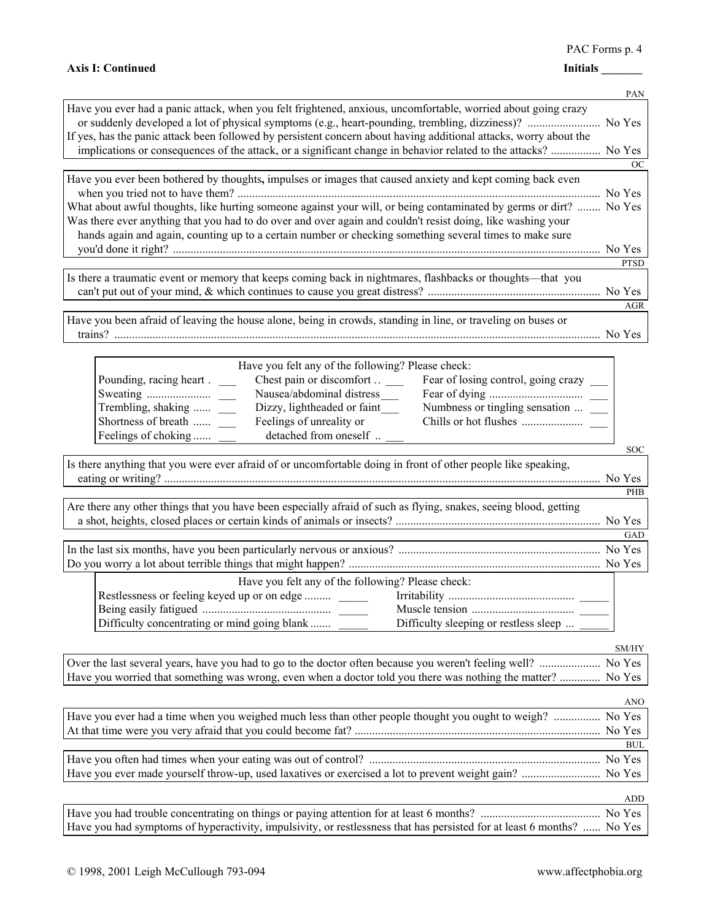# Axis I: Continued **Initials** 1.1 Continued

|                                                                                                                        | PAN           |
|------------------------------------------------------------------------------------------------------------------------|---------------|
| Have you ever had a panic attack, when you felt frightened, anxious, uncomfortable, worried about going crazy          |               |
| or suddenly developed a lot of physical symptoms (e.g., heart-pounding, trembling, dizziness)?  No Yes                 |               |
| If yes, has the panic attack been followed by persistent concern about having additional attacks, worry about the      |               |
| implications or consequences of the attack, or a significant change in behavior related to the attacks?  No Yes        |               |
|                                                                                                                        | <sub>OC</sub> |
| Have you ever been bothered by thoughts, impulses or images that caused anxiety and kept coming back even              |               |
| What about awful thoughts, like hurting someone against your will, or being contaminated by germs or dirt?  No Yes     |               |
| Was there ever anything that you had to do over and over again and couldn't resist doing, like washing your            |               |
| hands again and again, counting up to a certain number or checking something several times to make sure                |               |
|                                                                                                                        |               |
|                                                                                                                        | <b>PTSD</b>   |
| Is there a traumatic event or memory that keeps coming back in nightmares, flashbacks or thoughts-that you             |               |
|                                                                                                                        |               |
|                                                                                                                        | <b>AGR</b>    |
| Have you been afraid of leaving the house alone, being in crowds, standing in line, or traveling on buses or           |               |
|                                                                                                                        |               |
|                                                                                                                        |               |
| Have you felt any of the following? Please check:                                                                      |               |
| Chest pain or discomfort<br>Pounding, racing heart.<br>Fear of losing control, going crazy                             |               |
| Nausea/abdominal distress_                                                                                             |               |
| Dizzy, lightheaded or faint<br>Numbness or tingling sensation<br>Trembling, shaking<br>Shortness of breath             |               |
| Feelings of unreality or<br>detached from oneself<br>Feelings of choking                                               |               |
|                                                                                                                        | <b>SOC</b>    |
| Is there anything that you were ever afraid of or uncomfortable doing in front of other people like speaking,          |               |
|                                                                                                                        |               |
|                                                                                                                        | PHB           |
| Are there any other things that you have been especially afraid of such as flying, snakes, seeing blood, getting       |               |
|                                                                                                                        |               |
|                                                                                                                        | GAD           |
|                                                                                                                        |               |
|                                                                                                                        |               |
| Have you felt any of the following? Please check:                                                                      |               |
| Restlessness or feeling keyed up or on edge                                                                            |               |
|                                                                                                                        |               |
| Difficulty concentrating or mind going blank<br>Difficulty sleeping or restless sleep                                  |               |
|                                                                                                                        | SM/HY         |
|                                                                                                                        | No Yes        |
| Have you worried that something was wrong, even when a doctor told you there was nothing the matter?                   | No Yes        |
|                                                                                                                        |               |
|                                                                                                                        | <b>ANO</b>    |
| Have you ever had a time when you weighed much less than other people thought you ought to weigh?  No Yes              |               |
|                                                                                                                        |               |
|                                                                                                                        | <b>BUL</b>    |
|                                                                                                                        |               |
| Have you ever made yourself throw-up, used laxatives or exercised a lot to prevent weight gain?  No Yes                |               |
|                                                                                                                        | ADD           |
|                                                                                                                        |               |
| Have you had symptoms of hyperactivity, impulsivity, or restlessness that has persisted for at least 6 months?  No Yes |               |
|                                                                                                                        |               |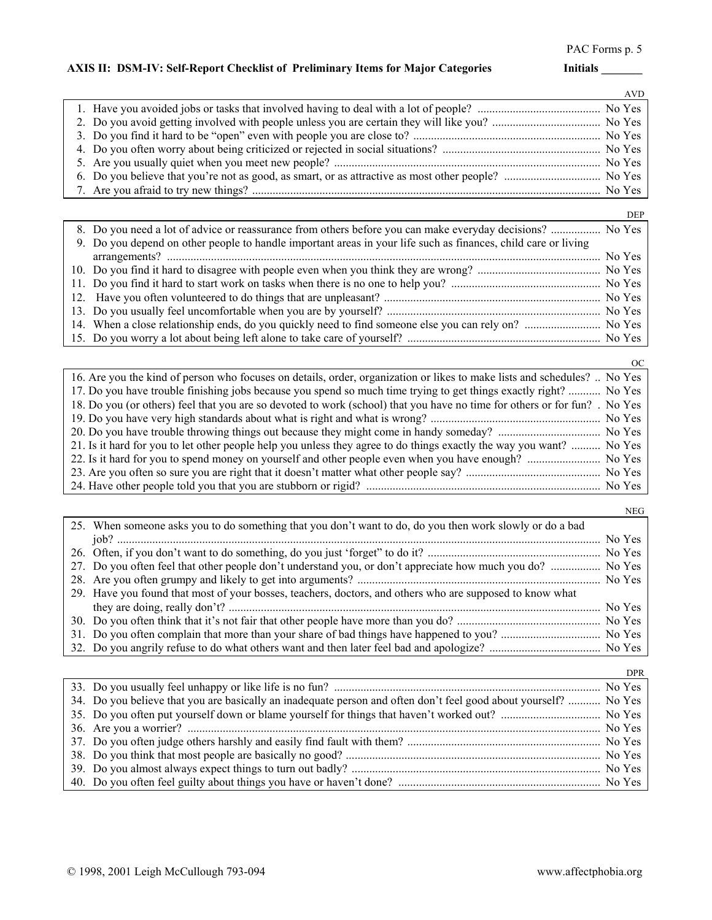## AXIS II: DSM-IV: Self-Report Checklist of Preliminary Items for Major Categories **Initials**

|  | <b>AVD</b> |
|--|------------|
|  |            |
|  |            |
|  |            |
|  |            |
|  |            |
|  |            |
|  |            |

|                                                                                                                | <b>DEP</b> |
|----------------------------------------------------------------------------------------------------------------|------------|
| 8. Do you need a lot of advice or reassurance from others before you can make everyday decisions?  No Yes      |            |
| 9. Do you depend on other people to handle important areas in your life such as finances, child care or living |            |
|                                                                                                                |            |
|                                                                                                                |            |
|                                                                                                                |            |
|                                                                                                                |            |
|                                                                                                                |            |
| 14. When a close relationship ends, do you quickly need to find someone else you can rely on?  No Yes          |            |
|                                                                                                                |            |

| OC.                                                                                                                        |
|----------------------------------------------------------------------------------------------------------------------------|
| 16. Are you the kind of person who focuses on details, order, organization or likes to make lists and schedules?  No Yes   |
| 17. Do you have trouble finishing jobs because you spend so much time trying to get things exactly right?  No Yes          |
| 18. Do you (or others) feel that you are so devoted to work (school) that you have no time for others or for fun? . No Yes |
|                                                                                                                            |
|                                                                                                                            |
| 21. Is it hard for you to let other people help you unless they agree to do things exactly the way you want?  No Yes       |
| 22. Is it hard for you to spend money on yourself and other people even when you have enough?  No Yes                      |
|                                                                                                                            |
|                                                                                                                            |

|                                                                                                            | <b>NEG</b> |
|------------------------------------------------------------------------------------------------------------|------------|
| 25. When someone asks you to do something that you don't want to do, do you then work slowly or do a bad   |            |
|                                                                                                            |            |
|                                                                                                            |            |
| 27. Do you often feel that other people don't understand you, or don't appreciate how much you do?  No Yes |            |
|                                                                                                            |            |
| 29. Have you found that most of your bosses, teachers, doctors, and others who are supposed to know what   |            |
|                                                                                                            |            |
|                                                                                                            |            |
|                                                                                                            |            |
|                                                                                                            |            |

|                                                                                                                  | <b>DPR</b> |
|------------------------------------------------------------------------------------------------------------------|------------|
|                                                                                                                  |            |
| 34. Do you believe that you are basically an inadequate person and often don't feel good about yourself?  No Yes |            |
|                                                                                                                  |            |
|                                                                                                                  |            |
|                                                                                                                  |            |
|                                                                                                                  |            |
|                                                                                                                  |            |
|                                                                                                                  |            |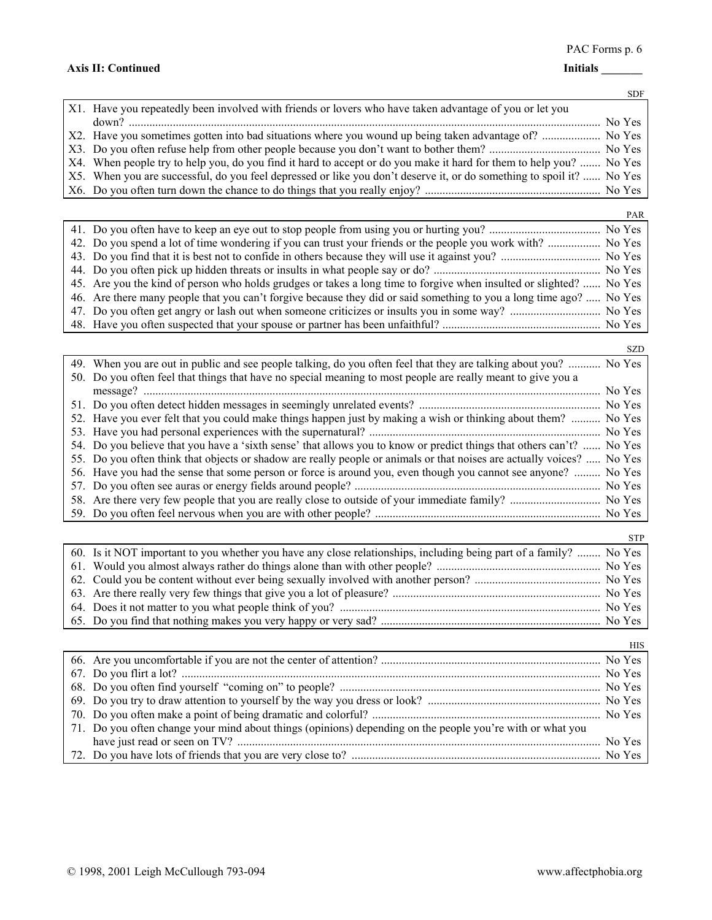PAC Forms p. 6

## **Axis II: Continued Initials \_\_\_\_\_\_\_**

|                                                                                                                       | <b>SDF</b> |
|-----------------------------------------------------------------------------------------------------------------------|------------|
| X1. Have you repeatedly been involved with friends or lovers who have taken advantage of you or let you               |            |
|                                                                                                                       | No Yes     |
|                                                                                                                       | No Yes     |
|                                                                                                                       |            |
| X4. When people try to help you, do you find it hard to accept or do you make it hard for them to help you?  No Yes   |            |
| X5. When you are successful, do you feel depressed or like you don't deserve it, or do something to spoil it?  No Yes |            |
|                                                                                                                       |            |

|                                                                                                                     | PAR |
|---------------------------------------------------------------------------------------------------------------------|-----|
|                                                                                                                     |     |
| 42. Do you spend a lot of time wondering if you can trust your friends or the people you work with?  No Yes         |     |
|                                                                                                                     |     |
|                                                                                                                     |     |
| 45. Are you the kind of person who holds grudges or takes a long time to forgive when insulted or slighted?  No Yes |     |
| 46. Are there many people that you can't forgive because they did or said something to you a long time ago?  No Yes |     |
|                                                                                                                     |     |
|                                                                                                                     |     |

|                                                                                                                        | <b>SZD</b> |
|------------------------------------------------------------------------------------------------------------------------|------------|
| 49. When you are out in public and see people talking, do you often feel that they are talking about you?  No Yes      |            |
| 50. Do you often feel that things that have no special meaning to most people are really meant to give you a           |            |
|                                                                                                                        | No Yes     |
|                                                                                                                        |            |
| 52. Have you ever felt that you could make things happen just by making a wish or thinking about them?                 | No Yes     |
|                                                                                                                        | No Yes     |
| 54. Do you believe that you have a 'sixth sense' that allows you to know or predict things that others can't?  No Yes  |            |
| 55. Do you often think that objects or shadow are really people or animals or that noises are actually voices?  No Yes |            |
| 56. Have you had the sense that some person or force is around you, even though you cannot see anyone?                 | No Yes     |
|                                                                                                                        | No Yes     |
|                                                                                                                        |            |
|                                                                                                                        |            |

| 60. Is it NOT important to you whether you have any close relationships, including being part of a family?  No Yes |  |
|--------------------------------------------------------------------------------------------------------------------|--|
|                                                                                                                    |  |
|                                                                                                                    |  |
|                                                                                                                    |  |
|                                                                                                                    |  |
|                                                                                                                    |  |

|                                                                                                           | HIS |
|-----------------------------------------------------------------------------------------------------------|-----|
|                                                                                                           |     |
|                                                                                                           |     |
|                                                                                                           |     |
|                                                                                                           |     |
|                                                                                                           |     |
| 71. Do you often change your mind about things (opinions) depending on the people you're with or what you |     |
|                                                                                                           |     |
|                                                                                                           |     |